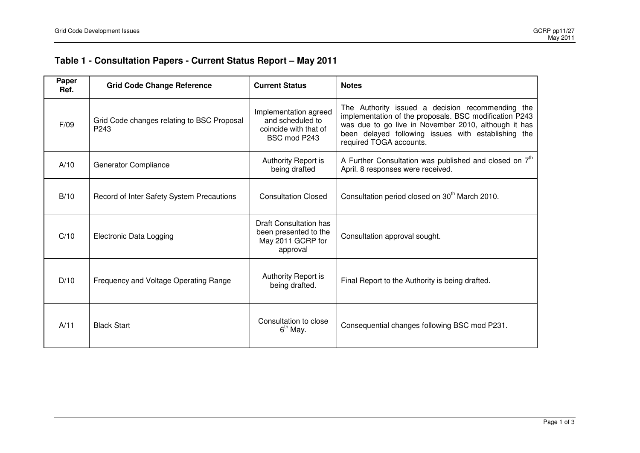## **Table 1 - Consultation Papers - Current Status Report – May 2011**

| Paper<br>Ref. | <b>Grid Code Change Reference</b>                  | <b>Current Status</b>                                                              | <b>Notes</b>                                                                                                                                                                                                                                         |
|---------------|----------------------------------------------------|------------------------------------------------------------------------------------|------------------------------------------------------------------------------------------------------------------------------------------------------------------------------------------------------------------------------------------------------|
| F/09          | Grid Code changes relating to BSC Proposal<br>P243 | Implementation agreed<br>and scheduled to<br>coincide with that of<br>BSC mod P243 | The Authority issued a decision recommending the<br>implementation of the proposals. BSC modification P243<br>was due to go live in November 2010, although it has<br>been delayed following issues with establishing the<br>required TOGA accounts. |
| A/10          | <b>Generator Compliance</b>                        | Authority Report is<br>being drafted                                               | A Further Consultation was published and closed on 7 <sup>th</sup><br>April. 8 responses were received.                                                                                                                                              |
| B/10          | Record of Inter Safety System Precautions          | <b>Consultation Closed</b>                                                         | Consultation period closed on 30 <sup>th</sup> March 2010.                                                                                                                                                                                           |
| C/10          | Electronic Data Logging                            | Draft Consultation has<br>been presented to the<br>May 2011 GCRP for<br>approval   | Consultation approval sought.                                                                                                                                                                                                                        |
| D/10          | Frequency and Voltage Operating Range              | Authority Report is<br>being drafted.                                              | Final Report to the Authority is being drafted.                                                                                                                                                                                                      |
| A/11          | <b>Black Start</b>                                 | Consultation to close<br>$6th$ May.                                                | Consequential changes following BSC mod P231.                                                                                                                                                                                                        |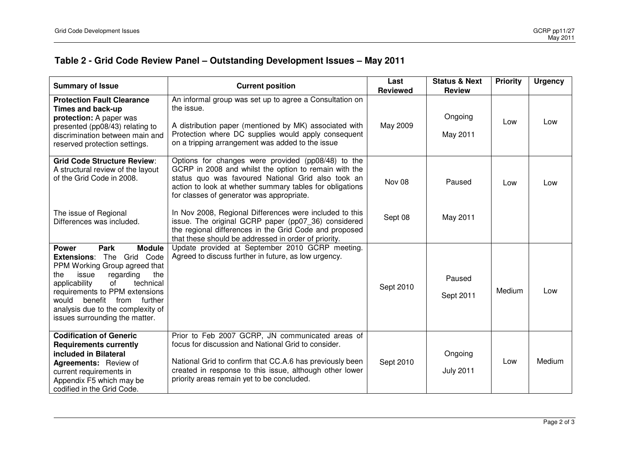## **Table 2 - Grid Code Review Panel – Outstanding Development Issues – May 2011**

| <b>Summary of Issue</b>                                                                                                                                                                                                                                                                                                             | <b>Current position</b>                                                                                                                                                                                                                                                      | Last<br><b>Reviewed</b> | <b>Status &amp; Next</b><br><b>Review</b> | <b>Priority</b> | <b>Urgency</b> |
|-------------------------------------------------------------------------------------------------------------------------------------------------------------------------------------------------------------------------------------------------------------------------------------------------------------------------------------|------------------------------------------------------------------------------------------------------------------------------------------------------------------------------------------------------------------------------------------------------------------------------|-------------------------|-------------------------------------------|-----------------|----------------|
| <b>Protection Fault Clearance</b><br>Times and back-up<br>protection: A paper was<br>presented (pp08/43) relating to<br>discrimination between main and<br>reserved protection settings.                                                                                                                                            | An informal group was set up to agree a Consultation on<br>the issue.<br>A distribution paper (mentioned by MK) associated with<br>Protection where DC supplies would apply consequent<br>on a tripping arrangement was added to the issue                                   | May 2009                | Ongoing<br>May 2011                       | Low             | Low            |
| <b>Grid Code Structure Review:</b><br>A structural review of the layout<br>of the Grid Code in 2008.                                                                                                                                                                                                                                | Options for changes were provided (pp08/48) to the<br>GCRP in 2008 and whilst the option to remain with the<br>status quo was favoured National Grid also took an<br>action to look at whether summary tables for obligations<br>for classes of generator was appropriate.   | Nov 08                  | Paused                                    | Low             | Low            |
| The issue of Regional<br>Differences was included.                                                                                                                                                                                                                                                                                  | In Nov 2008, Regional Differences were included to this<br>issue. The original GCRP paper (pp07_36) considered<br>the regional differences in the Grid Code and proposed<br>that these should be addressed in order of priority.                                             | Sept 08                 | May 2011                                  |                 |                |
| <b>Park</b><br><b>Module</b><br><b>Power</b><br><b>Extensions: The</b><br>Grid Code<br>PPM Working Group agreed that<br>regarding<br>the<br>the<br>issue<br>of<br>applicability<br>technical<br>requirements to PPM extensions<br>would benefit from further<br>analysis due to the complexity of<br>issues surrounding the matter. | Update provided at September 2010 GCRP meeting.<br>Agreed to discuss further in future, as low urgency.                                                                                                                                                                      | Sept 2010               | Paused<br>Sept 2011                       | Medium          | Low            |
| <b>Codification of Generic</b><br><b>Requirements currently</b><br>included in Bilateral<br>Agreements: Review of<br>current requirements in<br>Appendix F5 which may be<br>codified in the Grid Code.                                                                                                                              | Prior to Feb 2007 GCRP, JN communicated areas of<br>focus for discussion and National Grid to consider.<br>National Grid to confirm that CC.A.6 has previously been<br>created in response to this issue, although other lower<br>priority areas remain yet to be concluded. | Sept 2010               | Ongoing<br><b>July 2011</b>               | Low             | Medium         |